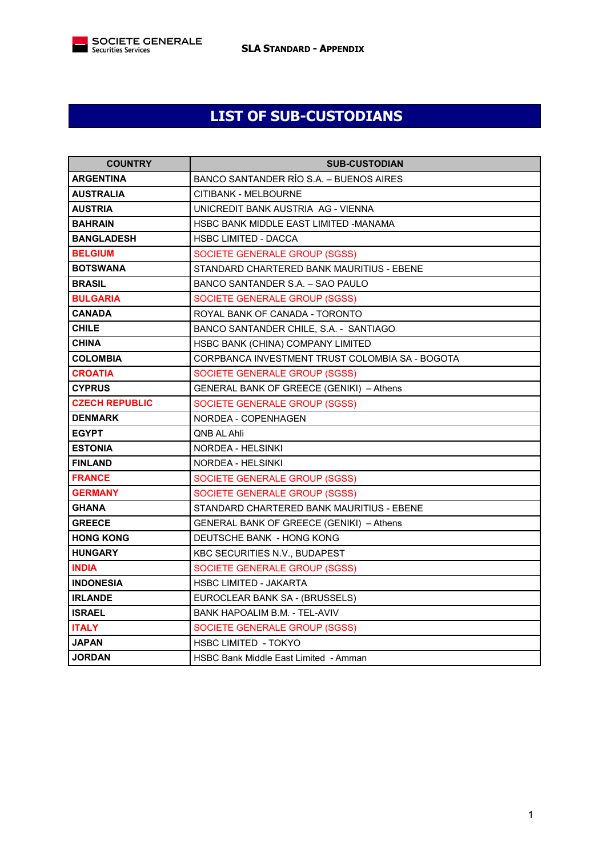

## **LIST OF SUB-CUSTODIANS**

| <b>COUNTRY</b>        | <b>SUB-CUSTODIAN</b>                            |
|-----------------------|-------------------------------------------------|
| <b>ARGENTINA</b>      | BANCO SANTANDER RÍO S.A. - BUENOS AIRES         |
| <b>AUSTRALIA</b>      | CITIBANK - MELBOURNE                            |
| <b>AUSTRIA</b>        | UNICREDIT BANK AUSTRIA AG - VIENNA              |
| <b>BAHRAIN</b>        | HSBC BANK MIDDLE EAST LIMITED -MANAMA           |
| <b>BANGLADESH</b>     | <b>HSBC LIMITED - DACCA</b>                     |
| <b>BELGIUM</b>        | SOCIETE GENERALE GROUP (SGSS)                   |
| <b>BOTSWANA</b>       | STANDARD CHARTERED BANK MAURITIUS - EBENE       |
| <b>BRASIL</b>         | BANCO SANTANDER S.A. - SAO PAULO                |
| <b>BULGARIA</b>       | SOCIETE GENERALE GROUP (SGSS)                   |
| <b>CANADA</b>         | ROYAL BANK OF CANADA - TORONTO                  |
| <b>CHILE</b>          | BANCO SANTANDER CHILE, S.A. - SANTIAGO          |
| <b>CHINA</b>          | HSBC BANK (CHINA) COMPANY LIMITED               |
| <b>COLOMBIA</b>       | CORPBANCA INVESTMENT TRUST COLOMBIA SA - BOGOTA |
| <b>CROATIA</b>        | SOCIETE GENERALE GROUP (SGSS)                   |
| <b>CYPRUS</b>         | <b>GENERAL BANK OF GREECE (GENIKI) - Athens</b> |
| <b>CZECH REPUBLIC</b> | SOCIETE GENERALE GROUP (SGSS)                   |
| <b>DENMARK</b>        | NORDEA - COPENHAGEN                             |
| <b>EGYPT</b>          | QNB AL Ahli                                     |
| <b>ESTONIA</b>        | NORDEA - HELSINKI                               |
| <b>FINLAND</b>        | NORDEA - HELSINKI                               |
| <b>FRANCE</b>         | SOCIETE GENERALE GROUP (SGSS)                   |
| <b>GERMANY</b>        | SOCIETE GENERALE GROUP (SGSS)                   |
| <b>GHANA</b>          | STANDARD CHARTERED BANK MAURITIUS - EBENE       |
| <b>GREECE</b>         | GENERAL BANK OF GREECE (GENIKI) – Athens        |
| <b>HONG KONG</b>      | DEUTSCHE BANK - HONG KONG                       |
| <b>HUNGARY</b>        | KBC SECURITIES N.V., BUDAPEST                   |
| <b>INDIA</b>          | SOCIETE GENERALE GROUP (SGSS)                   |
| <b>INDONESIA</b>      | <b>HSBC LIMITED - JAKARTA</b>                   |
| <b>IRLANDE</b>        | EUROCLEAR BANK SA - (BRUSSELS)                  |
| <b>ISRAEL</b>         | BANK HAPOALIM B.M. - TEL-AVIV                   |
| <b>ITALY</b>          | SOCIETE GENERALE GROUP (SGSS)                   |
| <b>JAPAN</b>          | <b>HSBC LIMITED - TOKYO</b>                     |
| <b>JORDAN</b>         | HSBC Bank Middle East Limited - Amman           |